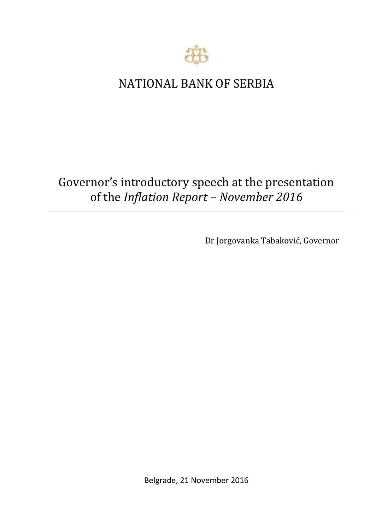

## NATIONAL BANK OF SERBIA

## Governor's introductory speech at the presentation of the *Inflation Report – November 2016*

Dr Jorgovanka Tabaković, Governor

Belgrade, 21 November 2016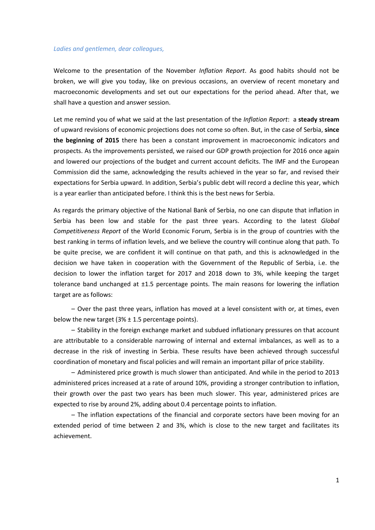## *Ladies and gentlemen, dear colleagues,*

Welcome to the presentation of the November *Inflation Report*. As good habits should not be broken, we will give you today, like on previous occasions, an overview of recent monetary and macroeconomic developments and set out our expectations for the period ahead. After that, we shall have a question and answer session.

Let me remind you of what we said at the last presentation of the *Inflation Report*: a **steady stream** of upward revisions of economic projections does not come so often. But, in the case of Serbia, **since the beginning of 2015** there has been a constant improvement in macroeconomic indicators and prospects. As the improvements persisted, we raised our GDP growth projection for 2016 once again and lowered our projections of the budget and current account deficits. The IMF and the European Commission did the same, acknowledging the results achieved in the year so far, and revised their expectations for Serbia upward. In addition, Serbia's public debt will record a decline this year, which is a year earlier than anticipated before. I think this is the best news for Serbia.

As regards the primary objective of the National Bank of Serbia, no one can dispute that inflation in Serbia has been low and stable for the past three years. According to the latest *Global Competitiveness Report* of the World Economic Forum, Serbia is in the group of countries with the best ranking in terms of inflation levels, and we believe the country will continue along that path. To be quite precise, we are confident it will continue on that path, and this is acknowledged in the decision we have taken in cooperation with the Government of the Republic of Serbia, i.e. the decision to lower the inflation target for 2017 and 2018 down to 3%, while keeping the target tolerance band unchanged at  $\pm 1.5$  percentage points. The main reasons for lowering the inflation target are as follows:

– Over the past three years, inflation has moved at a level consistent with or, at times, even below the new target ( $3\% \pm 1.5$  percentage points).

– Stability in the foreign exchange market and subdued inflationary pressures on that account are attributable to a considerable narrowing of internal and external imbalances, as well as to a decrease in the risk of investing in Serbia. These results have been achieved through successful coordination of monetary and fiscal policies and will remain an important pillar of price stability.

– Administered price growth is much slower than anticipated. And while in the period to 2013 administered prices increased at a rate of around 10%, providing a stronger contribution to inflation, their growth over the past two years has been much slower. This year, administered prices are expected to rise by around 2%, adding about 0.4 percentage points to inflation.

– The inflation expectations of the financial and corporate sectors have been moving for an extended period of time between 2 and 3%, which is close to the new target and facilitates its achievement.